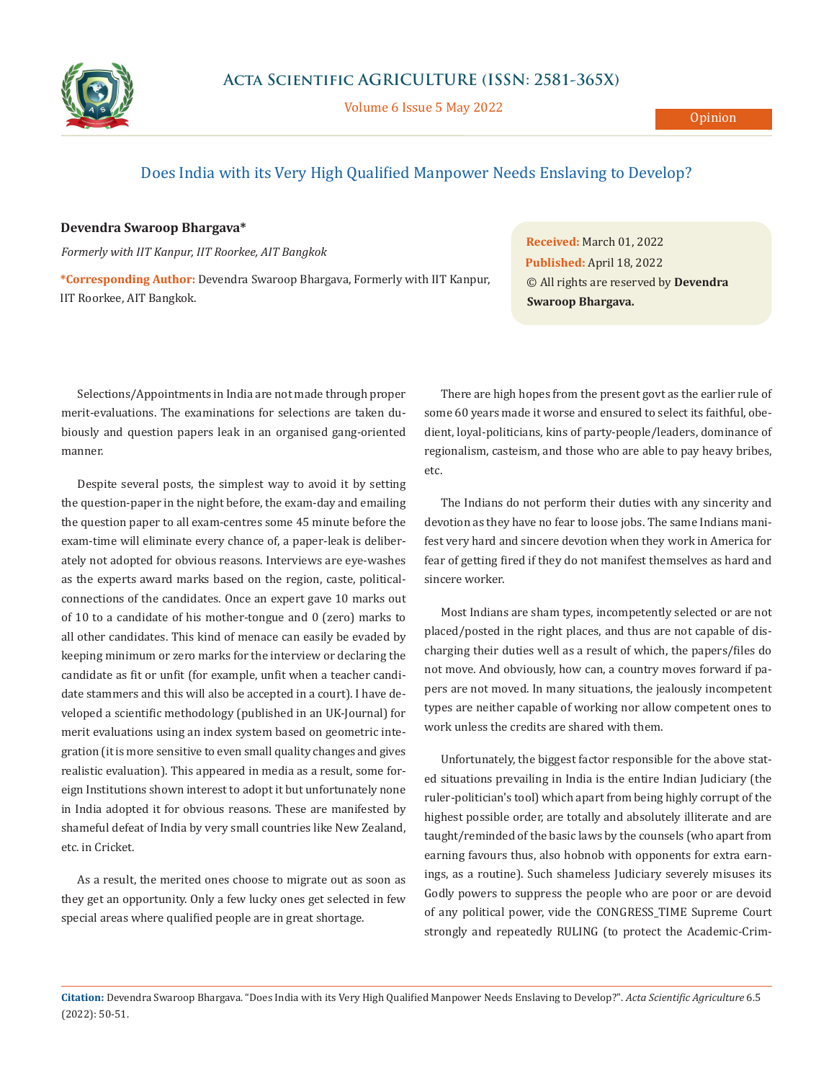

Volume 6 Issue 5 May 2022

## Does India with its Very High Qualified Manpower Needs Enslaving to Develop?

## **Devendra Swaroop Bhargava\***

*Formerly with IIT Kanpur, IIT Roorkee, AIT Bangkok*

**\*Corresponding Author:** Devendra Swaroop Bhargava, Formerly with IIT Kanpur, IIT Roorkee, AIT Bangkok.

**Received:** March 01, 2022 **Published:** April 18, 2022 © All rights are reserved by **Devendra Swaroop Bhargava.**

Selections/Appointments in India are not made through proper merit-evaluations. The examinations for selections are taken dubiously and question papers leak in an organised gang-oriented manner.

Despite several posts, the simplest way to avoid it by setting the question-paper in the night before, the exam-day and emailing the question paper to all exam-centres some 45 minute before the exam-time will eliminate every chance of, a paper-leak is deliberately not adopted for obvious reasons. Interviews are eye-washes as the experts award marks based on the region, caste, politicalconnections of the candidates. Once an expert gave 10 marks out of 10 to a candidate of his mother-tongue and 0 (zero) marks to all other candidates. This kind of menace can easily be evaded by keeping minimum or zero marks for the interview or declaring the candidate as fit or unfit (for example, unfit when a teacher candidate stammers and this will also be accepted in a court). I have developed a scientific methodology (published in an UK-Journal) for merit evaluations using an index system based on geometric integration (it is more sensitive to even small quality changes and gives realistic evaluation). This appeared in media as a result, some foreign Institutions shown interest to adopt it but unfortunately none in India adopted it for obvious reasons. These are manifested by shameful defeat of India by very small countries like New Zealand, etc. in Cricket.

As a result, the merited ones choose to migrate out as soon as they get an opportunity. Only a few lucky ones get selected in few special areas where qualified people are in great shortage.

There are high hopes from the present govt as the earlier rule of some 60 years made it worse and ensured to select its faithful, obedient, loyal-politicians, kins of party-people/leaders, dominance of regionalism, casteism, and those who are able to pay heavy bribes, etc.

The Indians do not perform their duties with any sincerity and devotion as they have no fear to loose jobs. The same Indians manifest very hard and sincere devotion when they work in America for fear of getting fired if they do not manifest themselves as hard and sincere worker.

Most Indians are sham types, incompetently selected or are not placed/posted in the right places, and thus are not capable of discharging their duties well as a result of which, the papers/files do not move. And obviously, how can, a country moves forward if papers are not moved. In many situations, the jealously incompetent types are neither capable of working nor allow competent ones to work unless the credits are shared with them.

Unfortunately, the biggest factor responsible for the above stated situations prevailing in India is the entire Indian Judiciary (the ruler-politician's tool) which apart from being highly corrupt of the highest possible order, are totally and absolutely illiterate and are taught/reminded of the basic laws by the counsels (who apart from earning favours thus, also hobnob with opponents for extra earnings, as a routine). Such shameless Judiciary severely misuses its Godly powers to suppress the people who are poor or are devoid of any political power, vide the CONGRESS\_TIME Supreme Court strongly and repeatedly RULING (to protect the Academic-Crim-

**Citation:** Devendra Swaroop Bhargava. "Does India with its Very High Qualified Manpower Needs Enslaving to Develop?". *Acta Scientific Agriculture* 6.5 (2022): 50-51.